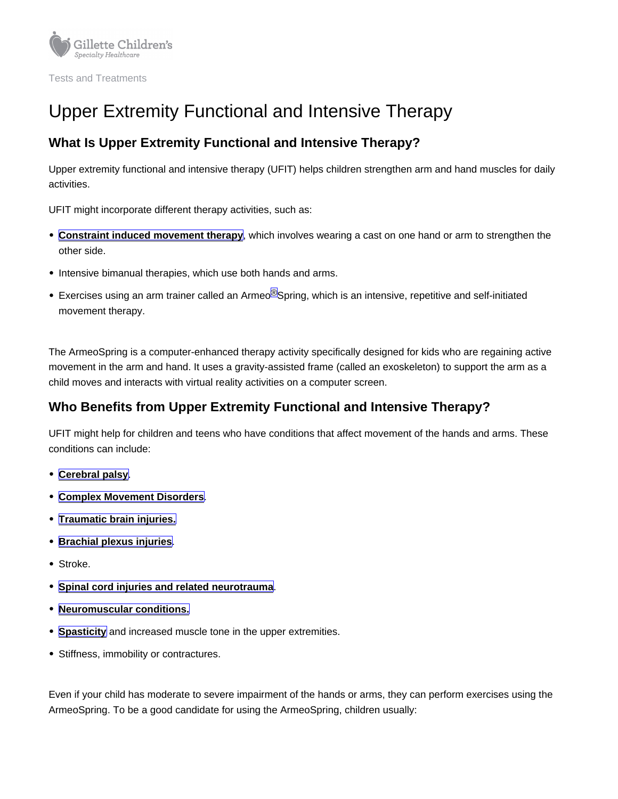# Upper Extremity Functional and Intensive Therapy

### What Is Upper Extremity Functional and Intensive Therapy?

Upper extremity functional and intensive therapy (UFIT) helps children strengthen arm and hand muscles for daily activities.

UFIT might incorporate different therapy activities, such as:

- [Constraint induced movement therapy](https://www.gillettechildrens.org/conditions-care/constraint-induced-movement-therapy) , which involves wearing a cast on one hand or arm to strengthen the other side.
- Intensive bimanual therapies, which use both hands and arms.
- Exercises using an arm trainer called an Armeo<sup>®</sup>Spring, which is an intensive, repetitive and self-initiated movement therapy.

The ArmeoSpring is a computer-enhanced therapy activity specifically designed for kids who are regaining active movement in the arm and hand. It uses a gravity-assisted frame (called an exoskeleton) to support the arm as a child moves and interacts with virtual reality activities on a computer screen.

## Who Benefits from Upper Extremity Functional and Intensive Therapy?

UFIT might help for children and teens who have conditions that affect movement of the hands and arms. These conditions can include:

- [Cerebral palsy](https://www.gillettechildrens.org/conditions-care/cerebral-palsy)
- [Complex Movement Disorders](https://www.gillettechildrens.org/conditions-care/complex-movement-disorders) .
- [Traumatic brain injuries.](https://www.gillettechildrens.org/conditions-care/brain-injury/what-is-a-brain-injury)
- **[Brachial plexus injuries](https://www.gillettechildrens.org/conditions-care/brachial-plexus-birth-injury)**
- Stroke.
- **[Spinal cord injuries and related neurotrauma](https://www.gillettechildrens.org/conditions-care/spinal-cord-injury)**
- [Neuromuscular conditions.](https://www.gillettechildrens.org/conditions-care/neuromuscular-disorders)
- [Spasticity](https://www.gillettechildrens.org/conditions-care/spasticity-evaluation) and increased muscle tone in the upper extremities.
- Stiffness, immobility or contractures.

Even if your child has moderate to severe impairment of the hands or arms, they can perform exercises using the ArmeoSpring. To be a good candidate for using the ArmeoSpring, children usually: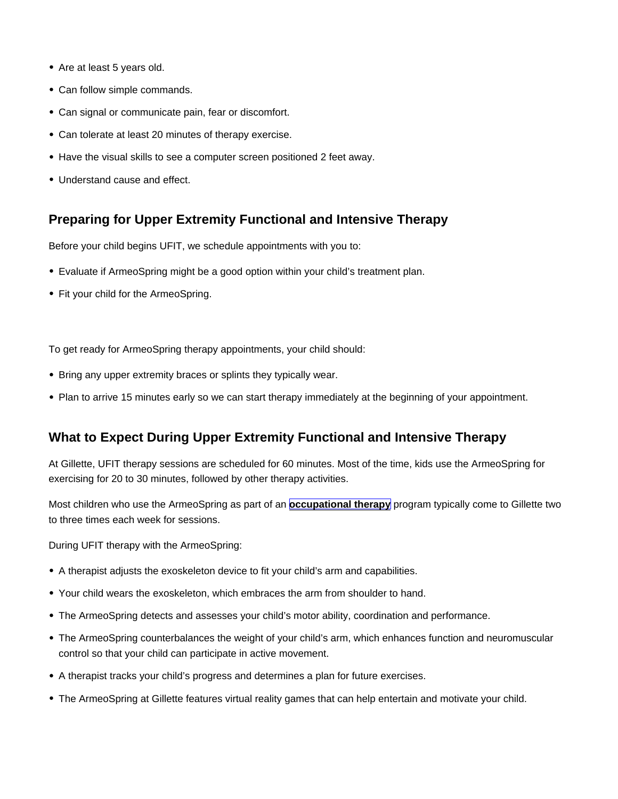- Are at least 5 years old.
- Can follow simple commands.
- Can signal or communicate pain, fear or discomfort.
- Can tolerate at least 20 minutes of therapy exercise.
- Have the visual skills to see a computer screen positioned 2 feet away.
- Understand cause and effect.

#### Preparing for Upper Extremity Functional and Intensive Therapy

Before your child begins UFIT, we schedule appointments with you to:

- Evaluate if ArmeoSpring might be a good option within your child's treatment plan.
- Fit your child for the ArmeoSpring.

To get ready for ArmeoSpring therapy appointments, your child should:

- Bring any upper extremity braces or splints they typically wear.
- Plan to arrive 15 minutes early so we can start therapy immediately at the beginning of your appointment.

#### What to Expect During Upper Extremity Functional and Intensive Therapy

At Gillette, UFIT therapy sessions are scheduled for 60 minutes. Most of the time, kids use the ArmeoSpring for exercising for 20 to 30 minutes, followed by other therapy activities.

Most children who use the ArmeoSpring as part of an [occupational therapy](https://www.gillettechildrens.org/conditions-care/occupational-therapy) program typically come to Gillette two to three times each week for sessions.

During UFIT therapy with the ArmeoSpring:

- A therapist adjusts the exoskeleton device to fit your child's arm and capabilities.
- Your child wears the exoskeleton, which embraces the arm from shoulder to hand.
- The ArmeoSpring detects and assesses your child's motor ability, coordination and performance.
- The ArmeoSpring counterbalances the weight of your child's arm, which enhances function and neuromuscular control so that your child can participate in active movement.
- A therapist tracks your child's progress and determines a plan for future exercises.
- The ArmeoSpring at Gillette features virtual reality games that can help entertain and motivate your child.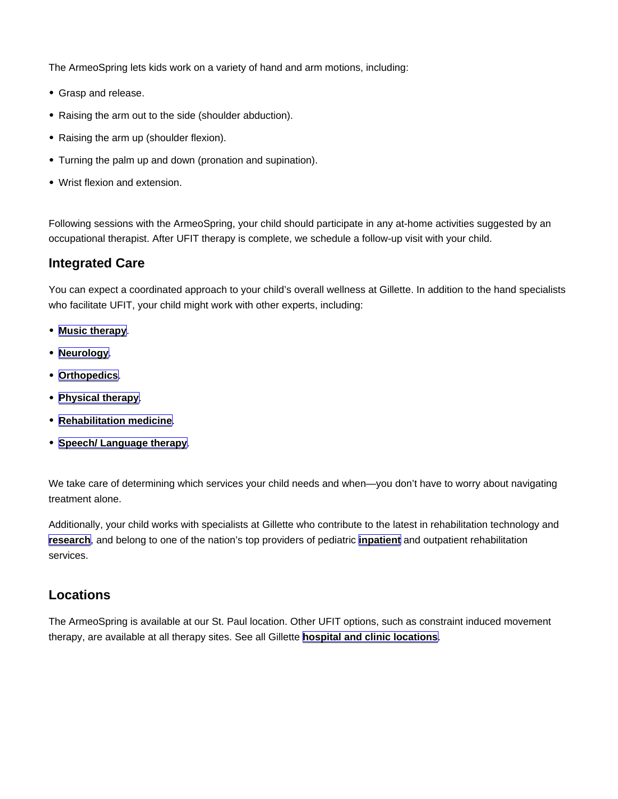The ArmeoSpring lets kids work on a variety of hand and arm motions, including:

- Grasp and release.
- Raising the arm out to the side (shoulder abduction).
- Raising the arm up (shoulder flexion).
- Turning the palm up and down (pronation and supination).
- Wrist flexion and extension.

Following sessions with the ArmeoSpring, your child should participate in any at-home activities suggested by an occupational therapist. After UFIT therapy is complete, we schedule a follow-up visit with your child.

#### Integrated Care

You can expect a coordinated approach to your child's overall wellness at Gillette. In addition to the hand specialists who facilitate UFIT, your child might work with other experts, including:

- [Music therapy](https://www.gillettechildrens.org/conditions-care/music-therapy) .
- [Neurology](https://www.gillettechildrens.org/conditions-care/neurology).
- [Orthopedics](https://www.gillettechildrens.org/conditions-care/orthopedics) .
- [Physical therapy](https://www.gillettechildrens.org/conditions-care/physical-therapy)
- [Rehabilitation medicine](https://www.gillettechildrens.org/conditions-care/rehabilitation-services/rehabilitation-medicine) .
- [Speech/ Language therapy](https://www.gillettechildrens.org/conditions-care/speech-and-language-therapy) .

We take care of determining which services your child needs and when—you don't have to worry about navigating treatment alone.

Additionally, your child works with specialists at Gillette who contribute to the latest in rehabilitation technology and [research](https://www.gillettechildrens.org/for-medical-professionals/research/research-emphasis-areas/upper-extremity-research) , and belong to one of the nation's top providers of pediatric [inpatient](https://www.gillettechildrens.org/conditions-care/comprehensive-inpatient-rehabilitation) and outpatient rehabilitation services.

#### Locations

The ArmeoSpring is available at our St. Paul location. Other UFIT options, such as constraint induced movement therapy, are available at all therapy sites. See all Gillette [hospital and clinic locations](https://www.gillettechildrens.org/locations-old)